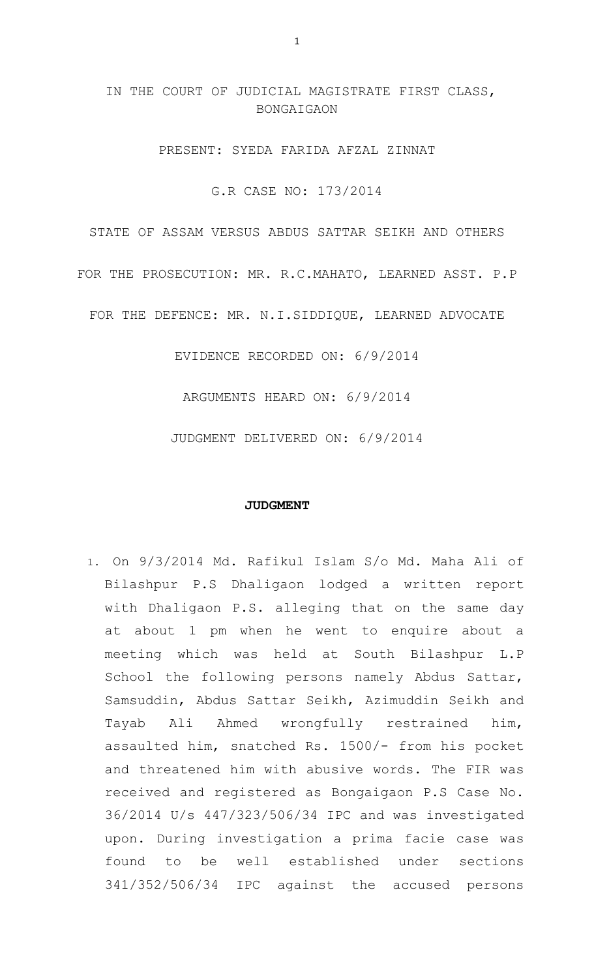# IN THE COURT OF JUDICIAL MAGISTRATE FIRST CLASS, **BONGAIGAON**

PRESENT: SYEDA FARIDA AFZAL ZINNAT

G.R CASE NO: 173/2014

STATE OF ASSAM VERSUS ABDUS SATTAR SEIKH AND OTHERS

FOR THE PROSECUTION: MR. R.C.MAHATO, LEARNED ASST. P.P

FOR THE DEFENCE: MR. N.I.SIDDIQUE, LEARNED ADVOCATE

EVIDENCE RECORDED ON: 6/9/2014

ARGUMENTS HEARD ON: 6/9/2014

JUDGMENT DELIVERED ON: 6/9/2014

#### **JUDGMENT**

1. On 9/3/2014 Md. Rafikul Islam S/o Md. Maha Ali of Bilashpur P.S Dhaligaon lodged a written report with Dhaligaon P.S. alleging that on the same day at about 1 pm when he went to enquire about a meeting which was held at South Bilashpur L.P School the following persons namely Abdus Sattar, Samsuddin, Abdus Sattar Seikh, Azimuddin Seikh and Tayab Ali Ahmed wrongfully restrained him, assaulted him, snatched Rs. 1500/- from his pocket and threatened him with abusive words. The FIR was received and registered as Bongaigaon P.S Case No. 36/2014 U/s 447/323/506/34 IPC and was investigated upon. During investigation a prima facie case was found to be well established under sections 341/352/506/34 IPC against the accused persons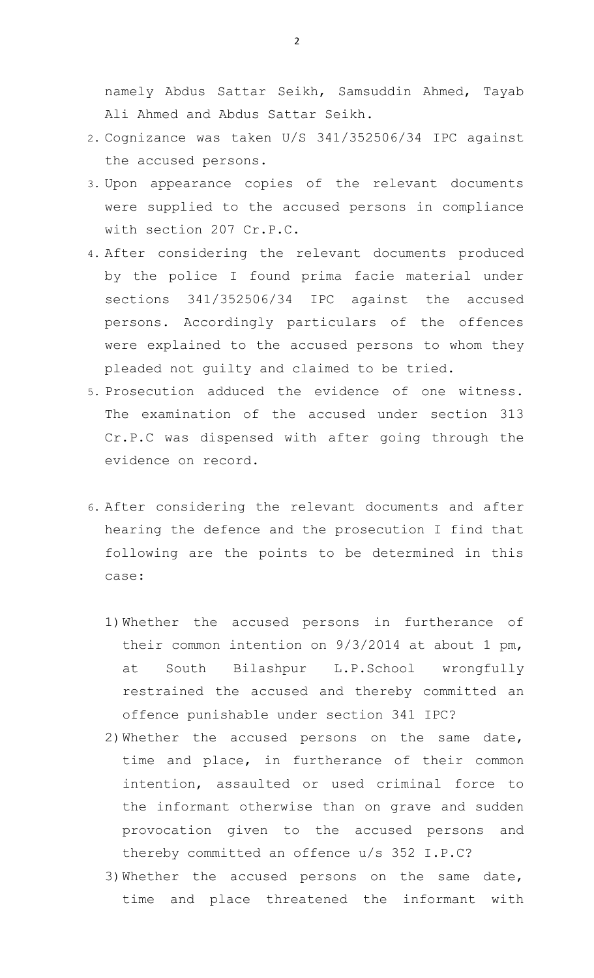namely Abdus Sattar Seikh, Samsuddin Ahmed, Tayab Ali Ahmed and Abdus Sattar Seikh.

- 2. Cognizance was taken U/S 341/352506/34 IPC against the accused persons.
- 3. Upon appearance copies of the relevant documents were supplied to the accused persons in compliance with section 207 Cr.P.C.
- 4. After considering the relevant documents produced by the police I found prima facie material under sections 341/352506/34 IPC against the accused persons. Accordingly particulars of the offences were explained to the accused persons to whom they pleaded not guilty and claimed to be tried.
- 5. Prosecution adduced the evidence of one witness. The examination of the accused under section 313 Cr.P.C was dispensed with after going through the evidence on record.
- 6. After considering the relevant documents and after hearing the defence and the prosecution I find that following are the points to be determined in this case:
	- 1)Whether the accused persons in furtherance of their common intention on 9/3/2014 at about 1 pm, at South Bilashpur L.P.School wrongfully restrained the accused and thereby committed an offence punishable under section 341 IPC?
	- 2)Whether the accused persons on the same date, time and place, in furtherance of their common intention, assaulted or used criminal force to the informant otherwise than on grave and sudden provocation given to the accused persons and thereby committed an offence u/s 352 I.P.C?
	- 3)Whether the accused persons on the same date, time and place threatened the informant with

2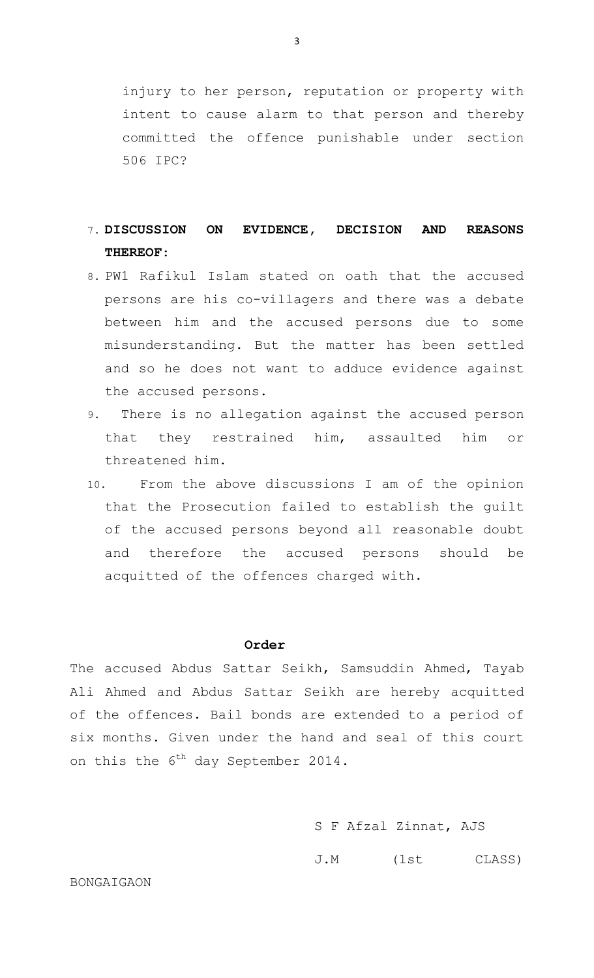injury to her person, reputation or property with intent to cause alarm to that person and thereby committed the offence punishable under section 506 IPC?

# 7. **DISCUSSION ON EVIDENCE, DECISION AND REASONS THEREOF**:

- 8. PW1 Rafikul Islam stated on oath that the accused persons are his co-villagers and there was a debate between him and the accused persons due to some misunderstanding. But the matter has been settled and so he does not want to adduce evidence against the accused persons.
- 9. There is no allegation against the accused person that they restrained him, assaulted him or threatened him.
- 10. From the above discussions I am of the opinion that the Prosecution failed to establish the guilt of the accused persons beyond all reasonable doubt and therefore the accused persons should be acquitted of the offences charged with.

## **Order**

The accused Abdus Sattar Seikh, Samsuddin Ahmed, Tayab Ali Ahmed and Abdus Sattar Seikh are hereby acquitted of the offences. Bail bonds are extended to a period of six months. Given under the hand and seal of this court on this the  $6^{th}$  day September 2014.

- S F Afzal Zinnat, AJS
- J.M (1st CLASS)

### BONGAIGAON